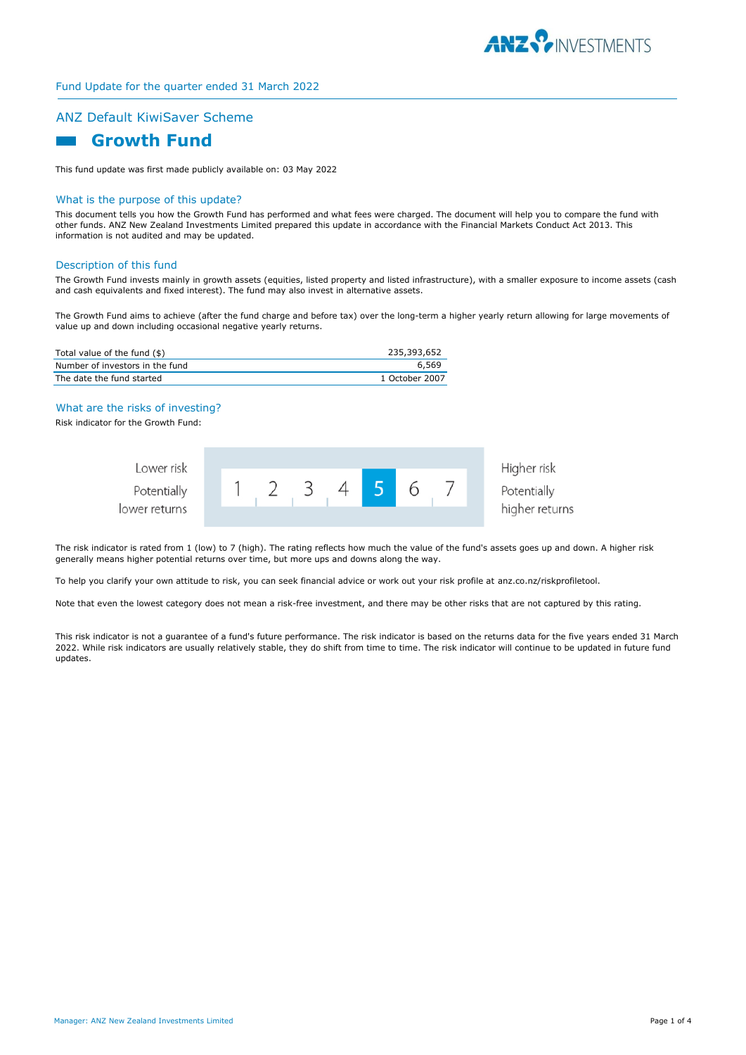

# ANZ Default KiwiSaver Scheme

# **Growth Fund**

This fund update was first made publicly available on: 03 May 2022

#### What is the purpose of this update?

This document tells you how the Growth Fund has performed and what fees were charged. The document will help you to compare the fund with other funds. ANZ New Zealand Investments Limited prepared this update in accordance with the Financial Markets Conduct Act 2013. This information is not audited and may be updated.

#### Description of this fund

The Growth Fund invests mainly in growth assets (equities, listed property and listed infrastructure), with a smaller exposure to income assets (cash and cash equivalents and fixed interest). The fund may also invest in alternative assets.

The Growth Fund aims to achieve (after the fund charge and before tax) over the long-term a higher yearly return allowing for large movements of value up and down including occasional negative yearly returns.

| Total value of the fund (\$)    | 235,393,652    |
|---------------------------------|----------------|
| Number of investors in the fund | 6,569          |
| The date the fund started       | 1 October 2007 |

## What are the risks of investing?

Risk indicator for the Growth Fund:

| Lower risk    |  |  |  |  | Higher risk    |
|---------------|--|--|--|--|----------------|
| Potentially   |  |  |  |  | Potentially    |
| lower returns |  |  |  |  | higher returns |

The risk indicator is rated from 1 (low) to 7 (high). The rating reflects how much the value of the fund's assets goes up and down. A higher risk generally means higher potential returns over time, but more ups and downs along the way.

To help you clarify your own attitude to risk, you can seek financial advice or work out your risk profile at anz.co.nz/riskprofiletool.

Note that even the lowest category does not mean a risk-free investment, and there may be other risks that are not captured by this rating.

This risk indicator is not a guarantee of a fund's future performance. The risk indicator is based on the returns data for the five years ended 31 March 2022. While risk indicators are usually relatively stable, they do shift from time to time. The risk indicator will continue to be updated in future fund updates.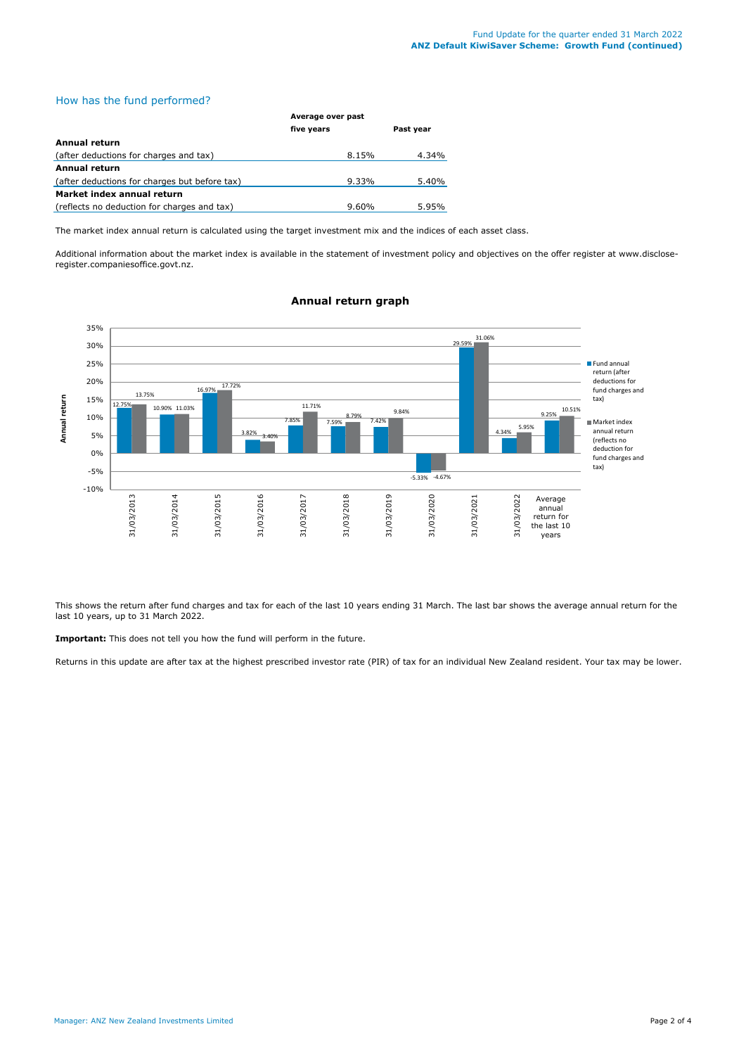# How has the fund performed?

|                                               | Average over past |           |  |
|-----------------------------------------------|-------------------|-----------|--|
|                                               | five years        | Past year |  |
| <b>Annual return</b>                          |                   |           |  |
| (after deductions for charges and tax)        | 8.15%             | 4.34%     |  |
| <b>Annual return</b>                          |                   |           |  |
| (after deductions for charges but before tax) | 9.33%             | 5.40%     |  |
| Market index annual return                    |                   |           |  |
| (reflects no deduction for charges and tax)   | $9.60\%$          | 5.95%     |  |

The market index annual return is calculated using the target investment mix and the indices of each asset class.

Additional information about the market index is available in the statement of investment policy and objectives on the offer register at www.discloseregister.companiesoffice.govt.nz.



# **Annual return graph**

This shows the return after fund charges and tax for each of the last 10 years ending 31 March. The last bar shows the average annual return for the last 10 years, up to 31 March 2022.

**Important:** This does not tell you how the fund will perform in the future.

Returns in this update are after tax at the highest prescribed investor rate (PIR) of tax for an individual New Zealand resident. Your tax may be lower.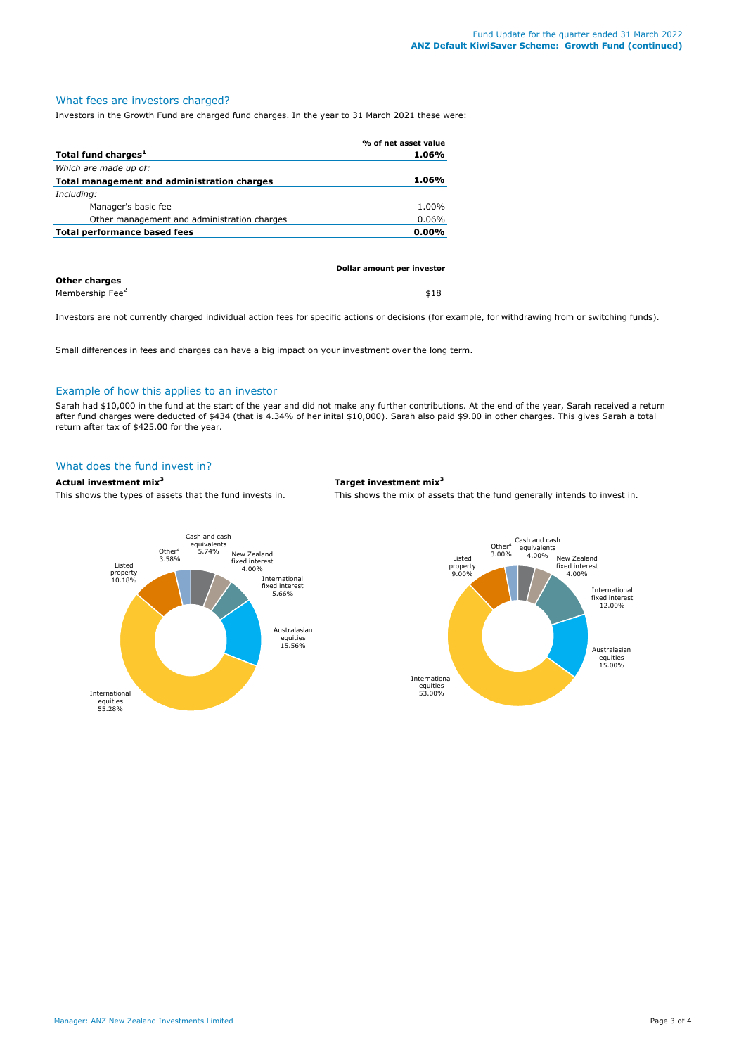### What fees are investors charged?

Investors in the Growth Fund are charged fund charges. In the year to 31 March 2021 these were:

|                                             | % of net asset value |
|---------------------------------------------|----------------------|
| Total fund charges <sup>1</sup>             | 1.06%                |
| Which are made up of:                       |                      |
| Total management and administration charges | 1.06%                |
| Including:                                  |                      |
| Manager's basic fee                         | 1.00%                |
| Other management and administration charges | 0.06%                |
| Total performance based fees                | $0.00\%$             |
|                                             |                      |
|                                             |                      |

|                             | Dollar amount per investor |
|-----------------------------|----------------------------|
| <b>Other charges</b>        |                            |
| Membership Fee <sup>2</sup> | \$18                       |

Investors are not currently charged individual action fees for specific actions or decisions (for example, for withdrawing from or switching funds).

Small differences in fees and charges can have a big impact on your investment over the long term.

#### Example of how this applies to an investor

Sarah had \$10,000 in the fund at the start of the year and did not make any further contributions. At the end of the year, Sarah received a return after fund charges were deducted of \$434 (that is 4.34% of her inital \$10,000). Sarah also paid \$9.00 in other charges. This gives Sarah a total return after tax of \$425.00 for the year.

# What does the fund invest in?

## **Actual investment mix<sup>3</sup> Target investment mix<sup>3</sup>**

This shows the types of assets that the fund invests in. This shows the mix of assets that the fund generally intends to invest in.